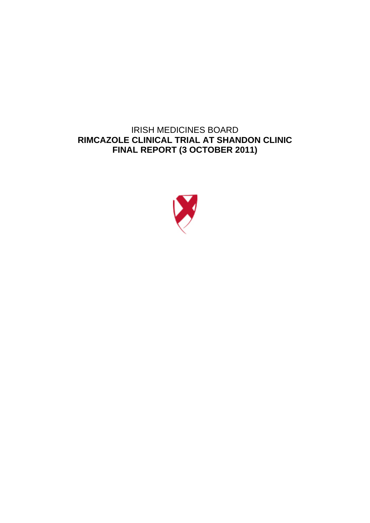# IRISH MEDICINES BOARD **RIMCAZOLE CLINICAL TRIAL AT SHANDON CLINIC FINAL REPORT (3 OCTOBER 2011)**

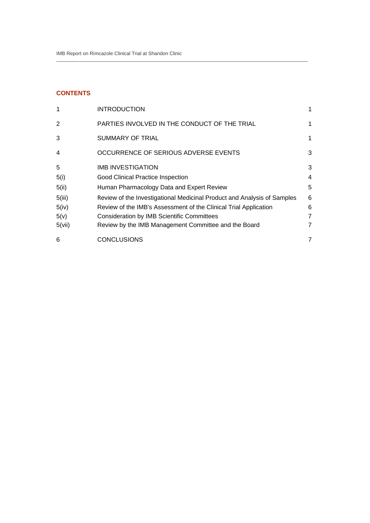## **CONTENTS**

| 1      | <b>INTRODUCTION</b>                                                     | 1 |
|--------|-------------------------------------------------------------------------|---|
| 2      | PARTIES INVOLVED IN THE CONDUCT OF THE TRIAL                            | 1 |
| 3      | SUMMARY OF TRIAL                                                        | 1 |
| 4      | OCCURRENCE OF SERIOUS ADVERSE EVENTS                                    | 3 |
| 5      | <b>IMB INVESTIGATION</b>                                                | 3 |
| 5(i)   | <b>Good Clinical Practice Inspection</b>                                | 4 |
| 5(ii)  | Human Pharmacology Data and Expert Review                               | 5 |
| 5(iii) | Review of the Investigational Medicinal Product and Analysis of Samples | 6 |
| 5(iv)  | Review of the IMB's Assessment of the Clinical Trial Application        | 6 |
| 5(v)   | <b>Consideration by IMB Scientific Committees</b>                       | 7 |
| 5(vii) | Review by the IMB Management Committee and the Board                    | 7 |
| 6      | <b>CONCLUSIONS</b>                                                      | 7 |

 $\_$  , and the set of the set of the set of the set of the set of the set of the set of the set of the set of the set of the set of the set of the set of the set of the set of the set of the set of the set of the set of th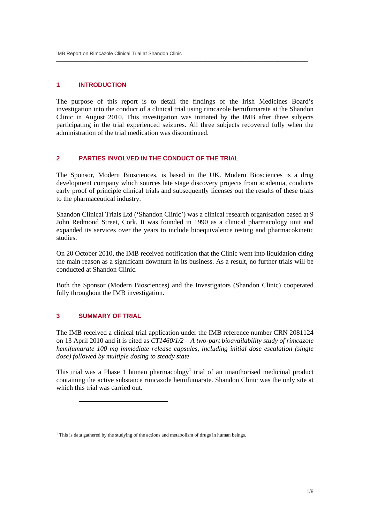## **1 INTRODUCTION**

The purpose of this report is to detail the findings of the Irish Medicines Board's investigation into the conduct of a clinical trial using rimcazole hemifumarate at the Shandon Clinic in August 2010. This investigation was initiated by the IMB after three subjects participating in the trial experienced seizures. All three subjects recovered fully when the administration of the trial medication was discontinued.

 $\_$  , and the set of the set of the set of the set of the set of the set of the set of the set of the set of the set of the set of the set of the set of the set of the set of the set of the set of the set of the set of th

## **2 PARTIES INVOLVED IN THE CONDUCT OF THE TRIAL**

The Sponsor, Modern Biosciences, is based in the UK. Modern Biosciences is a drug development company which sources late stage discovery projects from academia, conducts early proof of principle clinical trials and subsequently licenses out the results of these trials to the pharmaceutical industry.

Shandon Clinical Trials Ltd ('Shandon Clinic') was a clinical research organisation based at 9 John Redmond Street, Cork. It was founded in 1990 as a clinical pharmacology unit and expanded its services over the years to include bioequivalence testing and pharmacokinetic studies.

On 20 October 2010, the IMB received notification that the Clinic went into liquidation citing the main reason as a significant downturn in its business. As a result, no further trials will be conducted at Shandon Clinic.

Both the Sponsor (Modern Biosciences) and the Investigators (Shandon Clinic) cooperated fully throughout the IMB investigation.

## **3 SUMMARY OF TRIAL**

.

The IMB received a clinical trial application under the IMB reference number CRN 2081124 on 13 April 2010 and it is cited as *CT1460/1/2 – A two-part bioavailability study of rimcazole hemifumarate 100 mg immediate release capsules, including initial dose escalation (single dose) followed by multiple dosing to steady state* 

This trial was a Phase 1 human pharmacology<sup>1</sup> trial of an unauthorised medicinal product containing the active substance rimcazole hemifumarate. Shandon Clinic was the only site at which this trial was carried out.

<sup>&</sup>lt;sup>1</sup> This is data gathered by the studying of the actions and metabolism of drugs in human beings.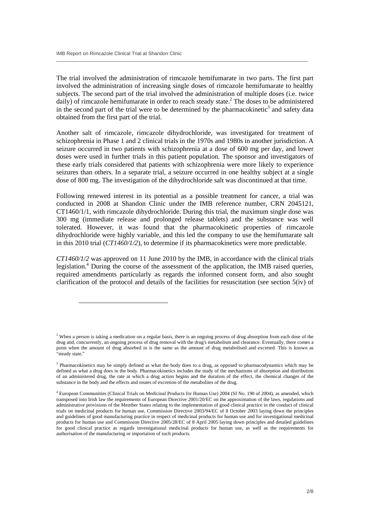-

The trial involved the administration of rimcazole hemifumarate in two parts. The first part involved the administration of increasing single doses of rimcazole hemifumarate to healthy subjects. The second part of the trial involved the administration of multiple doses (i.e. twice daily) of rimcazole hemifumarate in order to reach steady state.<sup>2</sup> The doses to be administered in the second part of the trial were to be determined by the pharmacokinetic<sup>3</sup> and safety data obtained from the first part of the trial.

 $\_$  , and the set of the set of the set of the set of the set of the set of the set of the set of the set of the set of the set of the set of the set of the set of the set of the set of the set of the set of the set of th

Another salt of rimcazole, rimcazole dihydrochloride, was investigated for treatment of schizophrenia in Phase 1 and 2 clinical trials in the 1970s and 1980s in another jurisdiction. A seizure occurred in two patients with schizophrenia at a dose of 600 mg per day, and lower doses were used in further trials in this patient population. The sponsor and investigators of these early trials considered that patients with schizophrenia were more likely to experience seizures than others. In a separate trial, a seizure occurred in one healthy subject at a single dose of 800 mg. The investigation of the dihydrochloride salt was discontinued at that time.

Following renewed interest in its potential as a possible treatment for cancer, a trial was conducted in 2008 at Shandon Clinic under the IMB reference number, CRN 2045121, CT1460/1/1, with rimcazole dihydrochloride. During this trial, the maximum single dose was 300 mg (immediate release and prolonged release tablets) and the substance was well tolerated. However, it was found that the pharmacokinetic properties of rimcazole dihydrochloride were highly variable, and this led the company to use the hemifumarate salt in this 2010 trial (*CT1460/1/2*), to determine if its pharmacokinetics were more predictable.

*CT1460/1/2* was approved on 11 June 2010 by the IMB, in accordance with the clinical trials legislation.<sup>4</sup> During the course of the assessment of the application, the IMB raised queries, required amendments particularly as regards the informed consent form, and also sought clarification of the protocol and details of the facilities for resuscitation (see section 5(iv) of

<sup>&</sup>lt;sup>2</sup> When a person is taking a medication on a regular basis, there is an ongoing process of drug absorption from each dose of the drug and, concurrently, an ongoing process of drug removal with the drug's metabolism and clearance. Eventually, there comes a point when the amount of drug absorbed in is the same as the amount of drug metabolised and excreted. This is known as "steady state."

<sup>&</sup>lt;sup>3</sup> Pharmacokinetics may be simply defined as what the body does to a drug, as opposed to pharmacodynamics which may be defined as what a drug does in the body. Pharmacokinetics includes the study of the mechanisms of absorption and distribution of an administered drug, the rate at which a drug action begins and the duration of the effect, the chemical changes of the substance in the body and the effects and routes of excretion of the metabolites of the drug.

<sup>4</sup> European Communities (Clinical Trials on Medicinal Products for Human Use) 2004 (SI No. 190 of 2004), as amended, which transposed into Irish law the requirements of European Directive 2001/20/EC on the approximation of the laws, regulations and administrative provisions of the Member States relating to the implementation of good clinical practice in the conduct of clinical trials on medicinal products for human use, Commission Directive 2003/94/EC of 8 October 2003 laying down the principles and guidelines of good manufacturing practice in respect of medicinal products for human use and for investigational medicinal products for human use and Commission Directive 2005/28/EC of 8 April 2005 laying down principles and detailed guidelines for good clinical practice as regards investigational medicinal products for human use, as well as the requirements for authorisation of the manufacturing or importation of such products.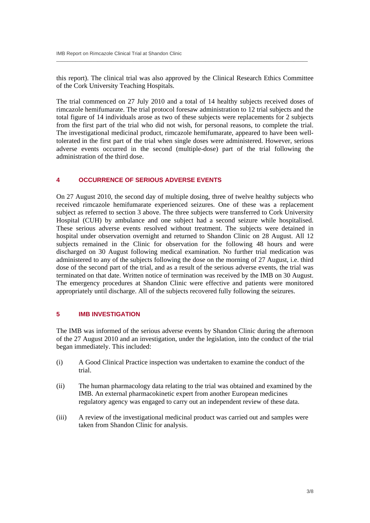this report). The clinical trial was also approved by the Clinical Research Ethics Committee of the Cork University Teaching Hospitals.

 $\_$  , and the set of the set of the set of the set of the set of the set of the set of the set of the set of the set of the set of the set of the set of the set of the set of the set of the set of the set of the set of th

The trial commenced on 27 July 2010 and a total of 14 healthy subjects received doses of rimcazole hemifumarate. The trial protocol foresaw administration to 12 trial subjects and the total figure of 14 individuals arose as two of these subjects were replacements for 2 subjects from the first part of the trial who did not wish, for personal reasons, to complete the trial. The investigational medicinal product, rimcazole hemifumarate, appeared to have been welltolerated in the first part of the trial when single doses were administered. However, serious adverse events occurred in the second (multiple-dose) part of the trial following the administration of the third dose.

#### **4 OCCURRENCE OF SERIOUS ADVERSE EVENTS**

On 27 August 2010, the second day of multiple dosing, three of twelve healthy subjects who received rimcazole hemifumarate experienced seizures. One of these was a replacement subject as referred to section 3 above. The three subjects were transferred to Cork University Hospital (CUH) by ambulance and one subject had a second seizure while hospitalised. These serious adverse events resolved without treatment. The subjects were detained in hospital under observation overnight and returned to Shandon Clinic on 28 August. All 12 subjects remained in the Clinic for observation for the following 48 hours and were discharged on 30 August following medical examination. No further trial medication was administered to any of the subjects following the dose on the morning of 27 August, i.e. third dose of the second part of the trial, and as a result of the serious adverse events, the trial was terminated on that date. Written notice of termination was received by the IMB on 30 August. The emergency procedures at Shandon Clinic were effective and patients were monitored appropriately until discharge. All of the subjects recovered fully following the seizures.

## **5 IMB INVESTIGATION**

The IMB was informed of the serious adverse events by Shandon Clinic during the afternoon of the 27 August 2010 and an investigation, under the legislation, into the conduct of the trial began immediately. This included:

- (i) A Good Clinical Practice inspection was undertaken to examine the conduct of the trial.
- (ii) The human pharmacology data relating to the trial was obtained and examined by the IMB. An external pharmacokinetic expert from another European medicines regulatory agency was engaged to carry out an independent review of these data.
- (iii) A review of the investigational medicinal product was carried out and samples were taken from Shandon Clinic for analysis.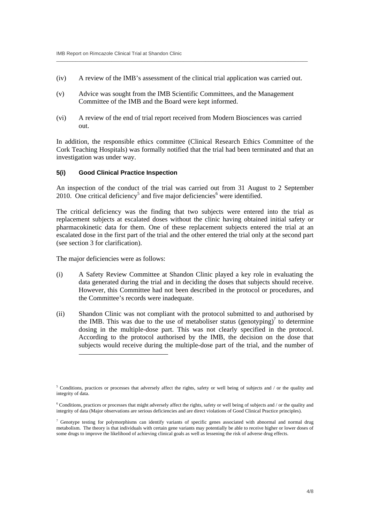(iv) A review of the IMB's assessment of the clinical trial application was carried out.

 $\_$  , and the set of the set of the set of the set of the set of the set of the set of the set of the set of the set of the set of the set of the set of the set of the set of the set of the set of the set of the set of th

- (v) Advice was sought from the IMB Scientific Committees, and the Management Committee of the IMB and the Board were kept informed.
- (vi) A review of the end of trial report received from Modern Biosciences was carried out.

In addition, the responsible ethics committee (Clinical Research Ethics Committee of the Cork Teaching Hospitals) was formally notified that the trial had been terminated and that an investigation was under way.

#### **5(i) Good Clinical Practice Inspection**

An inspection of the conduct of the trial was carried out from 31 August to 2 September 2010. One critical deficiency<sup>5</sup> and five major deficiencies<sup>6</sup> were identified.

The critical deficiency was the finding that two subjects were entered into the trial as replacement subjects at escalated doses without the clinic having obtained initial safety or pharmacokinetic data for them. One of these replacement subjects entered the trial at an escalated dose in the first part of the trial and the other entered the trial only at the second part (see section 3 for clarification).

The major deficiencies were as follows:

-

- (i) A Safety Review Committee at Shandon Clinic played a key role in evaluating the data generated during the trial and in deciding the doses that subjects should receive. However, this Committee had not been described in the protocol or procedures, and the Committee's records were inadequate.
- (ii) Shandon Clinic was not compliant with the protocol submitted to and authorised by the IMB. This was due to the use of metaboliser status (genotyping) $\frac{1}{2}$  to determine dosing in the multiple-dose part. This was not clearly specified in the protocol. According to the protocol authorised by the IMB, the decision on the dose that subjects would receive during the multiple-dose part of the trial, and the number of

<sup>&</sup>lt;sup>5</sup> Conditions, practices or processes that adversely affect the rights, safety or well being of subjects and / or the quality and integrity of data.

<sup>&</sup>lt;sup>6</sup> Conditions, practices or processes that might adversely affect the rights, safety or well being of subjects and / or the quality and integrity of data (Major observations are serious deficiencies and are direct violations of Good Clinical Practice principles).

<sup>&</sup>lt;sup>7</sup> Genotype testing for polymorphisms can identify variants of specific genes associated with abnormal and normal drug metabolism. The theory is that individuals with certain gene variants may potentially be able to receive higher or lower doses of some drugs to improve the likelihood of achieving clinical goals as well as lessening the risk of adverse drug effects.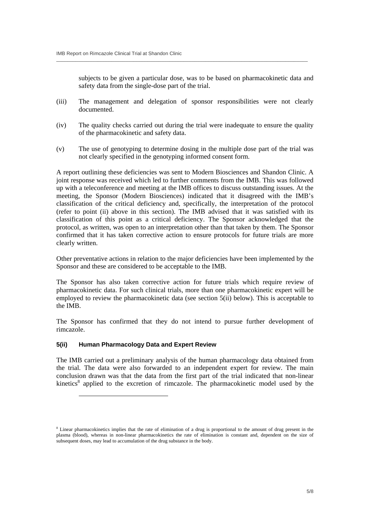subjects to be given a particular dose, was to be based on pharmacokinetic data and safety data from the single-dose part of the trial.

(iii) The management and delegation of sponsor responsibilities were not clearly documented.

 $\_$  , and the set of the set of the set of the set of the set of the set of the set of the set of the set of the set of the set of the set of the set of the set of the set of the set of the set of the set of the set of th

- (iv) The quality checks carried out during the trial were inadequate to ensure the quality of the pharmacokinetic and safety data.
- (v) The use of genotyping to determine dosing in the multiple dose part of the trial was not clearly specified in the genotyping informed consent form.

A report outlining these deficiencies was sent to Modern Biosciences and Shandon Clinic. A joint response was received which led to further comments from the IMB. This was followed up with a teleconference and meeting at the IMB offices to discuss outstanding issues. At the meeting, the Sponsor (Modern Biosciences) indicated that it disagreed with the IMB's classification of the critical deficiency and, specifically, the interpretation of the protocol (refer to point (ii) above in this section). The IMB advised that it was satisfied with its classification of this point as a critical deficiency. The Sponsor acknowledged that the protocol, as written, was open to an interpretation other than that taken by them. The Sponsor confirmed that it has taken corrective action to ensure protocols for future trials are more clearly written.

Other preventative actions in relation to the major deficiencies have been implemented by the Sponsor and these are considered to be acceptable to the IMB.

The Sponsor has also taken corrective action for future trials which require review of pharmacokinetic data. For such clinical trials, more than one pharmacokinetic expert will be employed to review the pharmacokinetic data (see section 5(ii) below). This is acceptable to the IMB.

The Sponsor has confirmed that they do not intend to pursue further development of rimcazole.

#### **5(ii) Human Pharmacology Data and Expert Review**

-

The IMB carried out a preliminary analysis of the human pharmacology data obtained from the trial. The data were also forwarded to an independent expert for review. The main conclusion drawn was that the data from the first part of the trial indicated that non-linear kinetics<sup>8</sup> applied to the excretion of rimcazole. The pharmacokinetic model used by the

<sup>&</sup>lt;sup>8</sup> Linear pharmacokinetics implies that the rate of elimination of a drug is proportional to the amount of drug present in the plasma (blood), whereas in non-linear pharmacokinetics the rate of elimination is constant and, dependent on the size of subsequent doses, may lead to accumulation of the drug substance in the body.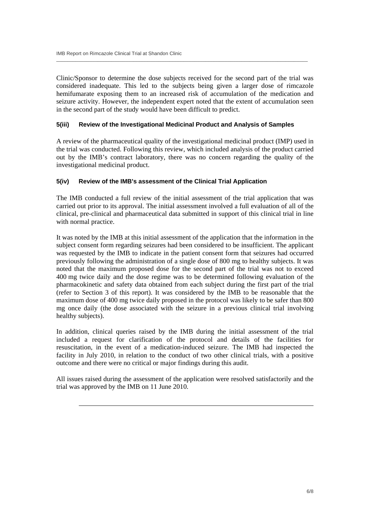.

Clinic/Sponsor to determine the dose subjects received for the second part of the trial was considered inadequate. This led to the subjects being given a larger dose of rimcazole hemifumarate exposing them to an increased risk of accumulation of the medication and seizure activity. However, the independent expert noted that the extent of accumulation seen in the second part of the study would have been difficult to predict.

 $\_$  , and the set of the set of the set of the set of the set of the set of the set of the set of the set of the set of the set of the set of the set of the set of the set of the set of the set of the set of the set of th

## **5(iii) Review of the Investigational Medicinal Product and Analysis of Samples**

A review of the pharmaceutical quality of the investigational medicinal product (IMP) used in the trial was conducted. Following this review, which included analysis of the product carried out by the IMB's contract laboratory, there was no concern regarding the quality of the investigational medicinal product.

## **5(iv) Review of the IMB's assessment of the Clinical Trial Application**

The IMB conducted a full review of the initial assessment of the trial application that was carried out prior to its approval. The initial assessment involved a full evaluation of all of the clinical, pre-clinical and pharmaceutical data submitted in support of this clinical trial in line with normal practice.

It was noted by the IMB at this initial assessment of the application that the information in the subject consent form regarding seizures had been considered to be insufficient. The applicant was requested by the IMB to indicate in the patient consent form that seizures had occurred previously following the administration of a single dose of 800 mg to healthy subjects. It was noted that the maximum proposed dose for the second part of the trial was not to exceed 400 mg twice daily and the dose regime was to be determined following evaluation of the pharmacokinetic and safety data obtained from each subject during the first part of the trial (refer to Section 3 of this report). It was considered by the IMB to be reasonable that the maximum dose of 400 mg twice daily proposed in the protocol was likely to be safer than 800 mg once daily (the dose associated with the seizure in a previous clinical trial involving healthy subjects).

In addition, clinical queries raised by the IMB during the initial assessment of the trial included a request for clarification of the protocol and details of the facilities for resuscitation, in the event of a medication-induced seizure. The IMB had inspected the facility in July 2010, in relation to the conduct of two other clinical trials, with a positive outcome and there were no critical or major findings during this audit.

All issues raised during the assessment of the application were resolved satisfactorily and the trial was approved by the IMB on 11 June 2010.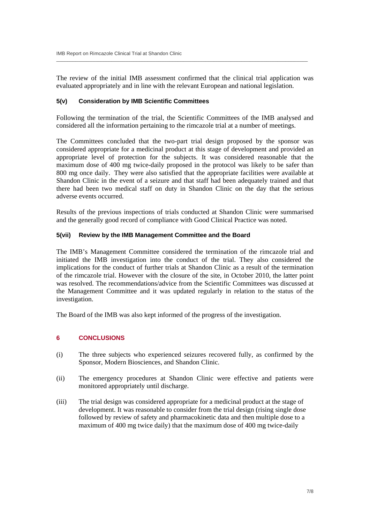The review of the initial IMB assessment confirmed that the clinical trial application was evaluated appropriately and in line with the relevant European and national legislation.

 $\_$  , and the set of the set of the set of the set of the set of the set of the set of the set of the set of the set of the set of the set of the set of the set of the set of the set of the set of the set of the set of th

#### **5(v) Consideration by IMB Scientific Committees**

Following the termination of the trial, the Scientific Committees of the IMB analysed and considered all the information pertaining to the rimcazole trial at a number of meetings.

The Committees concluded that the two-part trial design proposed by the sponsor was considered appropriate for a medicinal product at this stage of development and provided an appropriate level of protection for the subjects. It was considered reasonable that the maximum dose of 400 mg twice-daily proposed in the protocol was likely to be safer than 800 mg once daily. They were also satisfied that the appropriate facilities were available at Shandon Clinic in the event of a seizure and that staff had been adequately trained and that there had been two medical staff on duty in Shandon Clinic on the day that the serious adverse events occurred.

Results of the previous inspections of trials conducted at Shandon Clinic were summarised and the generally good record of compliance with Good Clinical Practice was noted.

### **5(vii) Review by the IMB Management Committee and the Board**

The IMB's Management Committee considered the termination of the rimcazole trial and initiated the IMB investigation into the conduct of the trial. They also considered the implications for the conduct of further trials at Shandon Clinic as a result of the termination of the rimcazole trial. However with the closure of the site, in October 2010, the latter point was resolved. The recommendations/advice from the Scientific Committees was discussed at the Management Committee and it was updated regularly in relation to the status of the investigation.

The Board of the IMB was also kept informed of the progress of the investigation.

## **6 CONCLUSIONS**

- (i) The three subjects who experienced seizures recovered fully, as confirmed by the Sponsor, Modern Biosciences, and Shandon Clinic.
- (ii) The emergency procedures at Shandon Clinic were effective and patients were monitored appropriately until discharge.
- (iii) The trial design was considered appropriate for a medicinal product at the stage of development. It was reasonable to consider from the trial design (rising single dose followed by review of safety and pharmacokinetic data and then multiple dose to a maximum of 400 mg twice daily) that the maximum dose of 400 mg twice-daily